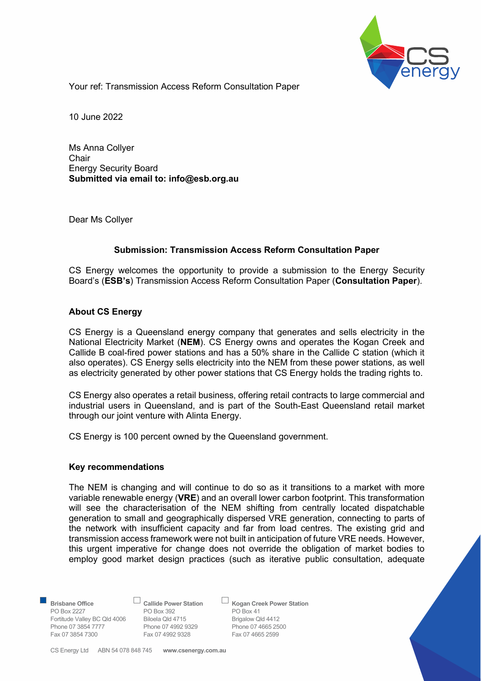

Your ref: Transmission Access Reform Consultation Paper

10 June 2022

Ms Anna Collyer **Chair** Energy Security Board Submitted via email to: info@esb.org.au

Dear Ms Collyer

# Submission: Transmission Access Reform Consultation Paper

CS Energy welcomes the opportunity to provide a submission to the Energy Security Board's (ESB's) Transmission Access Reform Consultation Paper (Consultation Paper).

# About CS Energy

CS Energy is a Queensland energy company that generates and sells electricity in the National Electricity Market (NEM). CS Energy owns and operates the Kogan Creek and Callide B coal-fired power stations and has a 50% share in the Callide C station (which it also operates). CS Energy sells electricity into the NEM from these power stations, as well as electricity generated by other power stations that CS Energy holds the trading rights to.

CS Energy also operates a retail business, offering retail contracts to large commercial and industrial users in Queensland, and is part of the South-East Queensland retail market through our joint venture with Alinta Energy.

CS Energy is 100 percent owned by the Queensland government.

# Key recommendations

The NEM is changing and will continue to do so as it transitions to a market with more variable renewable energy (VRE) and an overall lower carbon footprint. This transformation will see the characterisation of the NEM shifting from centrally located dispatchable generation to small and geographically dispersed VRE generation, connecting to parts of the network with insufficient capacity and far from load centres. The existing grid and transmission access framework were not built in anticipation of future VRE needs. However, this urgent imperative for change does not override the obligation of market bodies to employ good market design practices (such as iterative public consultation, adequate

PO Box 2227 PO Box 392 PO Box 41<br>
Fortitude Valley BC Qld 4006 Biloela Qld 4715 Brigalow Qld 4412 Fortitude Valley BC Qld 4006 Biloela Qld 4715 Brigalow Qld 4412 Phone 07 3854 7777 Phone 07 4992 9329 Phone 07 4665 25<br>
Fax 07 3854 7300 Fax 07 4992 9328 Fax 07 4665 2599

Fax 07 4992 9328

Brisbane Office **Callide Power Station** Cogan Creek Power Station

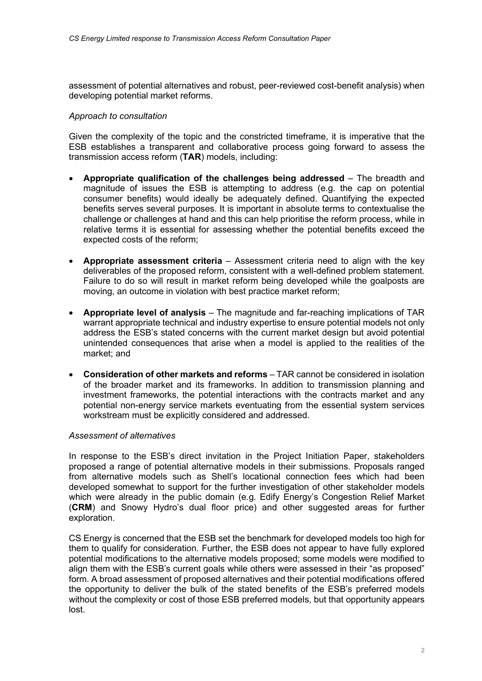assessment of potential alternatives and robust, peer-reviewed cost-benefit analysis) when developing potential market reforms.

# Approach to consultation

Given the complexity of the topic and the constricted timeframe, it is imperative that the ESB establishes a transparent and collaborative process going forward to assess the transmission access reform (TAR) models, including:

- Appropriate qualification of the challenges being addressed The breadth and magnitude of issues the ESB is attempting to address (e.g. the cap on potential consumer benefits) would ideally be adequately defined. Quantifying the expected benefits serves several purposes. It is important in absolute terms to contextualise the challenge or challenges at hand and this can help prioritise the reform process, while in relative terms it is essential for assessing whether the potential benefits exceed the expected costs of the reform;
- Appropriate assessment criteria Assessment criteria need to align with the key deliverables of the proposed reform, consistent with a well-defined problem statement. Failure to do so will result in market reform being developed while the goalposts are moving, an outcome in violation with best practice market reform;
- Appropriate level of analysis The magnitude and far-reaching implications of TAR warrant appropriate technical and industry expertise to ensure potential models not only address the ESB's stated concerns with the current market design but avoid potential unintended consequences that arise when a model is applied to the realities of the market; and
- Consideration of other markets and reforms TAR cannot be considered in isolation of the broader market and its frameworks. In addition to transmission planning and investment frameworks, the potential interactions with the contracts market and any potential non-energy service markets eventuating from the essential system services workstream must be explicitly considered and addressed.

#### Assessment of alternatives

In response to the ESB's direct invitation in the Project Initiation Paper, stakeholders proposed a range of potential alternative models in their submissions. Proposals ranged from alternative models such as Shell's locational connection fees which had been developed somewhat to support for the further investigation of other stakeholder models which were already in the public domain (e.g. Edify Energy's Congestion Relief Market (CRM) and Snowy Hydro's dual floor price) and other suggested areas for further exploration.

CS Energy is concerned that the ESB set the benchmark for developed models too high for them to qualify for consideration. Further, the ESB does not appear to have fully explored potential modifications to the alternative models proposed; some models were modified to align them with the ESB's current goals while others were assessed in their "as proposed" form. A broad assessment of proposed alternatives and their potential modifications offered the opportunity to deliver the bulk of the stated benefits of the ESB's preferred models without the complexity or cost of those ESB preferred models, but that opportunity appears lost.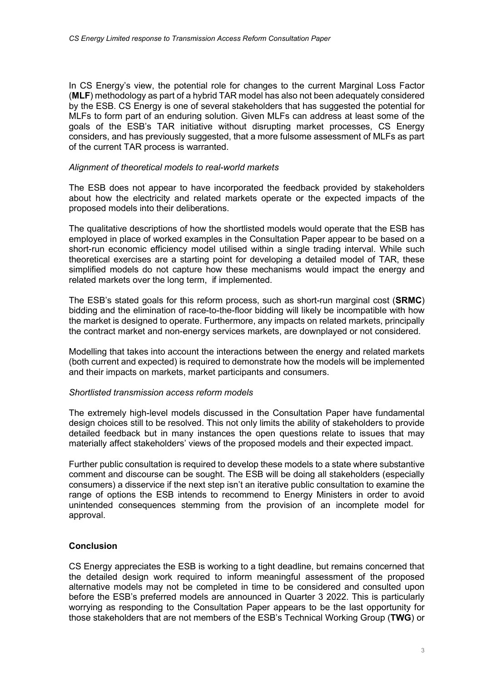In CS Energy's view, the potential role for changes to the current Marginal Loss Factor (MLF) methodology as part of a hybrid TAR model has also not been adequately considered by the ESB. CS Energy is one of several stakeholders that has suggested the potential for MLFs to form part of an enduring solution. Given MLFs can address at least some of the goals of the ESB's TAR initiative without disrupting market processes, CS Energy considers, and has previously suggested, that a more fulsome assessment of MLFs as part of the current TAR process is warranted.

# Alignment of theoretical models to real-world markets

The ESB does not appear to have incorporated the feedback provided by stakeholders about how the electricity and related markets operate or the expected impacts of the proposed models into their deliberations.

The qualitative descriptions of how the shortlisted models would operate that the ESB has employed in place of worked examples in the Consultation Paper appear to be based on a short-run economic efficiency model utilised within a single trading interval. While such theoretical exercises are a starting point for developing a detailed model of TAR, these simplified models do not capture how these mechanisms would impact the energy and related markets over the long term, if implemented.

The ESB's stated goals for this reform process, such as short-run marginal cost (**SRMC**) bidding and the elimination of race-to-the-floor bidding will likely be incompatible with how the market is designed to operate. Furthermore, any impacts on related markets, principally the contract market and non-energy services markets, are downplayed or not considered.

Modelling that takes into account the interactions between the energy and related markets (both current and expected) is required to demonstrate how the models will be implemented and their impacts on markets, market participants and consumers.

#### Shortlisted transmission access reform models

The extremely high-level models discussed in the Consultation Paper have fundamental design choices still to be resolved. This not only limits the ability of stakeholders to provide detailed feedback but in many instances the open questions relate to issues that may materially affect stakeholders' views of the proposed models and their expected impact.

Further public consultation is required to develop these models to a state where substantive comment and discourse can be sought. The ESB will be doing all stakeholders (especially consumers) a disservice if the next step isn't an iterative public consultation to examine the range of options the ESB intends to recommend to Energy Ministers in order to avoid unintended consequences stemming from the provision of an incomplete model for approval.

# Conclusion

CS Energy appreciates the ESB is working to a tight deadline, but remains concerned that the detailed design work required to inform meaningful assessment of the proposed alternative models may not be completed in time to be considered and consulted upon before the ESB's preferred models are announced in Quarter 3 2022. This is particularly worrying as responding to the Consultation Paper appears to be the last opportunity for those stakeholders that are not members of the ESB's Technical Working Group (TWG) or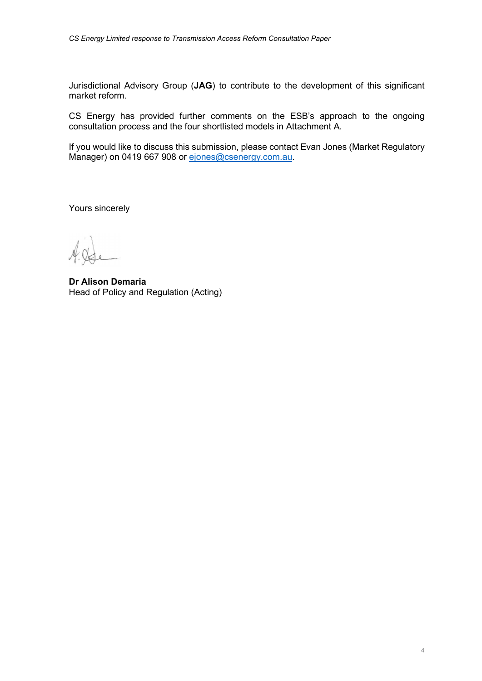Jurisdictional Advisory Group (JAG) to contribute to the development of this significant market reform.

CS Energy has provided further comments on the ESB's approach to the ongoing consultation process and the four shortlisted models in Attachment A.

If you would like to discuss this submission, please contact Evan Jones (Market Regulatory Manager) on 0419 667 908 or ejones@csenergy.com.au.

Yours sincerely

Dr Alison Demaria Head of Policy and Regulation (Acting)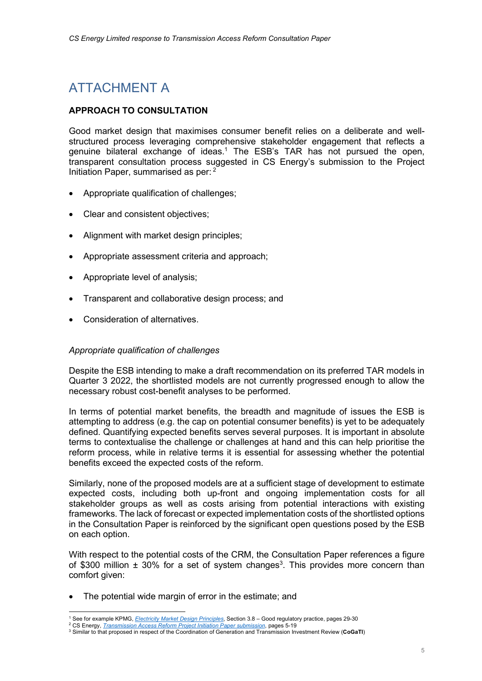# ATTACHMENT A

# APPROACH TO CONSULTATION

Good market design that maximises consumer benefit relies on a deliberate and wellstructured process leveraging comprehensive stakeholder engagement that reflects a genuine bilateral exchange of ideas.<sup>1</sup> The ESB's TAR has not pursued the open, transparent consultation process suggested in CS Energy's submission to the Project Initiation Paper, summarised as per: 2

- Appropriate qualification of challenges;
- Clear and consistent objectives;
- Alignment with market design principles;
- Appropriate assessment criteria and approach;
- Appropriate level of analysis;
- Transparent and collaborative design process; and
- Consideration of alternatives.

#### Appropriate qualification of challenges

Despite the ESB intending to make a draft recommendation on its preferred TAR models in Quarter 3 2022, the shortlisted models are not currently progressed enough to allow the necessary robust cost-benefit analyses to be performed.

In terms of potential market benefits, the breadth and magnitude of issues the ESB is attempting to address (e.g. the cap on potential consumer benefits) is yet to be adequately defined. Quantifying expected benefits serves several purposes. It is important in absolute terms to contextualise the challenge or challenges at hand and this can help prioritise the reform process, while in relative terms it is essential for assessing whether the potential benefits exceed the expected costs of the reform.

Similarly, none of the proposed models are at a sufficient stage of development to estimate expected costs, including both up-front and ongoing implementation costs for all stakeholder groups as well as costs arising from potential interactions with existing frameworks. The lack of forecast or expected implementation costs of the shortlisted options in the Consultation Paper is reinforced by the significant open questions posed by the ESB on each option.

With respect to the potential costs of the CRM, the Consultation Paper references a figure of \$300 million  $\pm$  30% for a set of system changes<sup>3</sup>. This provides more concern than comfort given:

The potential wide margin of error in the estimate; and

<sup>&</sup>lt;sup>1</sup> See for example KPMG, *Electricity Market Design Principles*, Section 3.8 – Good regulatory practice, pages 29-30

<sup>&</sup>lt;sup>2</sup> CS Energy, *Transmission Access Reform Project Initiation Paper submission*, pages 5-19

 $3$  Similar to that proposed in respect of the Coordination of Generation and Transmission Investment Review (CoGaTI)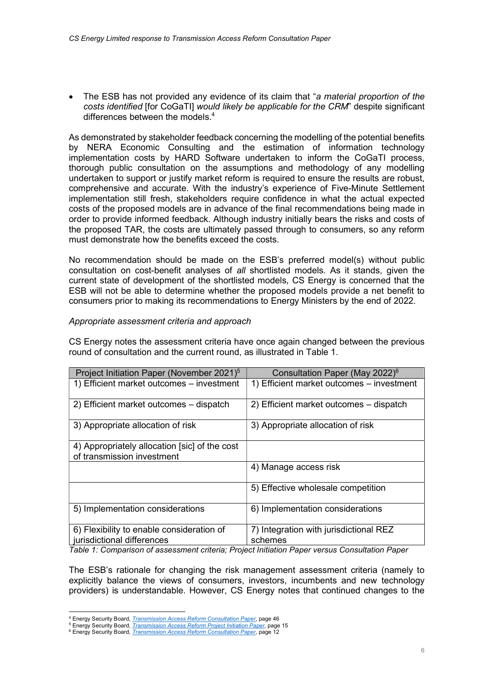The ESB has not provided any evidence of its claim that "a material proportion of the costs identified [for CoGaTI] would likely be applicable for the CRM" despite significant differences between the models.<sup>4</sup>

As demonstrated by stakeholder feedback concerning the modelling of the potential benefits by NERA Economic Consulting and the estimation of information technology implementation costs by HARD Software undertaken to inform the CoGaTI process, thorough public consultation on the assumptions and methodology of any modelling undertaken to support or justify market reform is required to ensure the results are robust, comprehensive and accurate. With the industry's experience of Five-Minute Settlement implementation still fresh, stakeholders require confidence in what the actual expected costs of the proposed models are in advance of the final recommendations being made in order to provide informed feedback. Although industry initially bears the risks and costs of the proposed TAR, the costs are ultimately passed through to consumers, so any reform must demonstrate how the benefits exceed the costs.

No recommendation should be made on the ESB's preferred model(s) without public consultation on cost-benefit analyses of all shortlisted models. As it stands, given the current state of development of the shortlisted models, CS Energy is concerned that the ESB will not be able to determine whether the proposed models provide a net benefit to consumers prior to making its recommendations to Energy Ministers by the end of 2022.

# Appropriate assessment criteria and approach

CS Energy notes the assessment criteria have once again changed between the previous round of consultation and the current round, as illustrated in Table 1.

| Project Initiation Paper (November 2021) <sup>5</sup>                       | Consultation Paper (May 2022) <sup>6</sup>                                       |
|-----------------------------------------------------------------------------|----------------------------------------------------------------------------------|
| 1) Efficient market outcomes – investment                                   | 1) Efficient market outcomes - investment                                        |
| 2) Efficient market outcomes – dispatch                                     | 2) Efficient market outcomes – dispatch                                          |
| 3) Appropriate allocation of risk                                           | 3) Appropriate allocation of risk                                                |
| 4) Appropriately allocation [sic] of the cost<br>of transmission investment |                                                                                  |
|                                                                             | 4) Manage access risk                                                            |
|                                                                             | 5) Effective wholesale competition                                               |
| 5) Implementation considerations                                            | 6) Implementation considerations                                                 |
| 6) Flexibility to enable consideration of                                   | 7) Integration with jurisdictional REZ                                           |
| jurisdictional differences<br>$\tau$ abla di Osmanianiani af                | schemes<br>sanceal antiquia: Duaiset Initiation Dancerranore Ochardtation Dancer |

Table 1: Comparison of assessment criteria; Project Initiation Paper versus Consultation Paper

The ESB's rationale for changing the risk management assessment criteria (namely to explicitly balance the views of consumers, investors, incumbents and new technology providers) is understandable. However, CS Energy notes that continued changes to the

<sup>5</sup> Energy Security Board, *Transmission Access Reform Project Initiation Paper*, page 15

<sup>&</sup>lt;sup>4</sup> Energy Security Board, *Transmission Access Reform Consultation Paper*, page 46

<sup>&</sup>lt;sup>6</sup> Energy Security Board, *Transmission Access Reform Consultation Paper*, page 12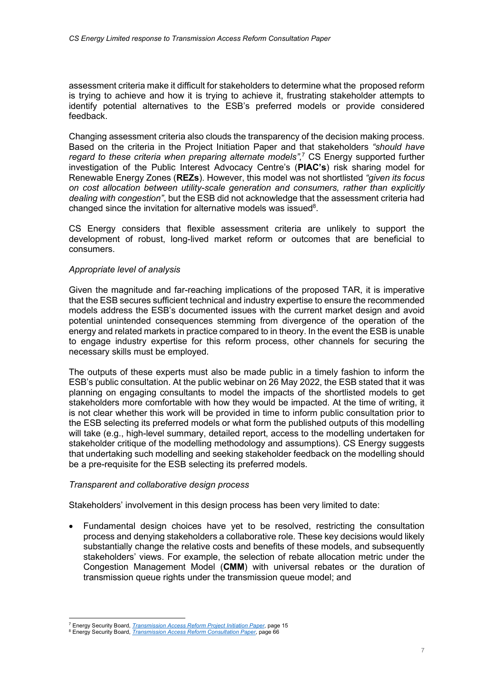assessment criteria make it difficult for stakeholders to determine what the proposed reform is trying to achieve and how it is trying to achieve it, frustrating stakeholder attempts to identify potential alternatives to the ESB's preferred models or provide considered feedback.

Changing assessment criteria also clouds the transparency of the decision making process. Based on the criteria in the Project Initiation Paper and that stakeholders "should have regard to these criteria when preparing alternate models",<sup>7</sup> CS Energy supported further investigation of the Public Interest Advocacy Centre's (PIAC's) risk sharing model for Renewable Energy Zones (REZs). However, this model was not shortlisted "given its focus on cost allocation between utility-scale generation and consumers, rather than explicitly dealing with congestion", but the ESB did not acknowledge that the assessment criteria had changed since the invitation for alternative models was issued $8$ .

CS Energy considers that flexible assessment criteria are unlikely to support the development of robust, long-lived market reform or outcomes that are beneficial to consumers.

# Appropriate level of analysis

Given the magnitude and far-reaching implications of the proposed TAR, it is imperative that the ESB secures sufficient technical and industry expertise to ensure the recommended models address the ESB's documented issues with the current market design and avoid potential unintended consequences stemming from divergence of the operation of the energy and related markets in practice compared to in theory. In the event the ESB is unable to engage industry expertise for this reform process, other channels for securing the necessary skills must be employed.

The outputs of these experts must also be made public in a timely fashion to inform the ESB's public consultation. At the public webinar on 26 May 2022, the ESB stated that it was planning on engaging consultants to model the impacts of the shortlisted models to get stakeholders more comfortable with how they would be impacted. At the time of writing, it is not clear whether this work will be provided in time to inform public consultation prior to the ESB selecting its preferred models or what form the published outputs of this modelling will take (e.g., high-level summary, detailed report, access to the modelling undertaken for stakeholder critique of the modelling methodology and assumptions). CS Energy suggests that undertaking such modelling and seeking stakeholder feedback on the modelling should be a pre-requisite for the ESB selecting its preferred models.

#### Transparent and collaborative design process

Stakeholders' involvement in this design process has been very limited to date:

 Fundamental design choices have yet to be resolved, restricting the consultation process and denying stakeholders a collaborative role. These key decisions would likely substantially change the relative costs and benefits of these models, and subsequently stakeholders' views. For example, the selection of rebate allocation metric under the Congestion Management Model (CMM) with universal rebates or the duration of transmission queue rights under the transmission queue model; and

<sup>&</sup>lt;sup>7</sup> Energy Security Board, *Transmission Access Reform Project Initiation Paper*, page 15

<sup>&</sup>lt;sup>8</sup> Energy Security Board, *Transmission Access Reform Consultation Paper*, page 66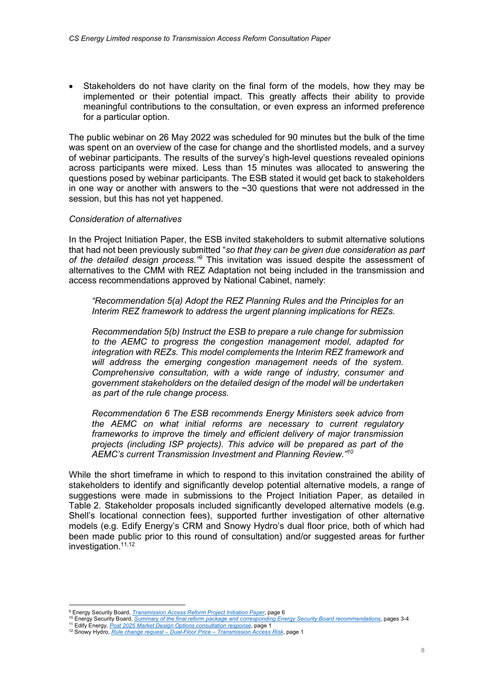Stakeholders do not have clarity on the final form of the models, how they may be implemented or their potential impact. This greatly affects their ability to provide meaningful contributions to the consultation, or even express an informed preference for a particular option.

The public webinar on 26 May 2022 was scheduled for 90 minutes but the bulk of the time was spent on an overview of the case for change and the shortlisted models, and a survey of webinar participants. The results of the survey's high-level questions revealed opinions across participants were mixed. Less than 15 minutes was allocated to answering the questions posed by webinar participants. The ESB stated it would get back to stakeholders in one way or another with answers to the  $\sim$ 30 questions that were not addressed in the session, but this has not yet happened.

# Consideration of alternatives

In the Project Initiation Paper, the ESB invited stakeholders to submit alternative solutions that had not been previously submitted "so that they can be given due consideration as part of the detailed design process.<sup>39</sup> This invitation was issued despite the assessment of alternatives to the CMM with REZ Adaptation not being included in the transmission and access recommendations approved by National Cabinet, namely:

"Recommendation 5(a) Adopt the REZ Planning Rules and the Principles for an Interim REZ framework to address the urgent planning implications for REZs.

Recommendation 5(b) Instruct the ESB to prepare a rule change for submission to the AEMC to progress the congestion management model, adapted for integration with REZs. This model complements the Interim REZ framework and will address the emerging congestion management needs of the system. Comprehensive consultation, with a wide range of industry, consumer and government stakeholders on the detailed design of the model will be undertaken as part of the rule change process.

Recommendation 6 The ESB recommends Energy Ministers seek advice from the AEMC on what initial reforms are necessary to current regulatory frameworks to improve the timely and efficient delivery of major transmission projects (including ISP projects). This advice will be prepared as part of the AEMC's current Transmission Investment and Planning Review."<sup>10</sup>

While the short timeframe in which to respond to this invitation constrained the ability of stakeholders to identify and significantly develop potential alternative models, a range of suggestions were made in submissions to the Project Initiation Paper, as detailed in Table 2. Stakeholder proposals included significantly developed alternative models (e.g. Shell's locational connection fees), supported further investigation of other alternative models (e.g. Edify Energy's CRM and Snowy Hydro's dual floor price, both of which had been made public prior to this round of consultation) and/or suggested areas for further investigation.<sup>11,12</sup>

<sup>&</sup>lt;sup>9</sup> Energy Security Board, *Transmission Access Reform Project Initiation Paper*, page 6

<sup>&</sup>lt;sup>10</sup> Energy Security Board, Summary of the final reform package and corresponding Energy Security Board recommendations, pages 3-4

<sup>&</sup>lt;sup>11</sup> Edify Energy, *Post 2025 Market Design Options consultation response*, page 1

<sup>12</sup> Snowy Hydro, *Rule change request – Dual-Floor Price – Transmission Access Risk*, page 1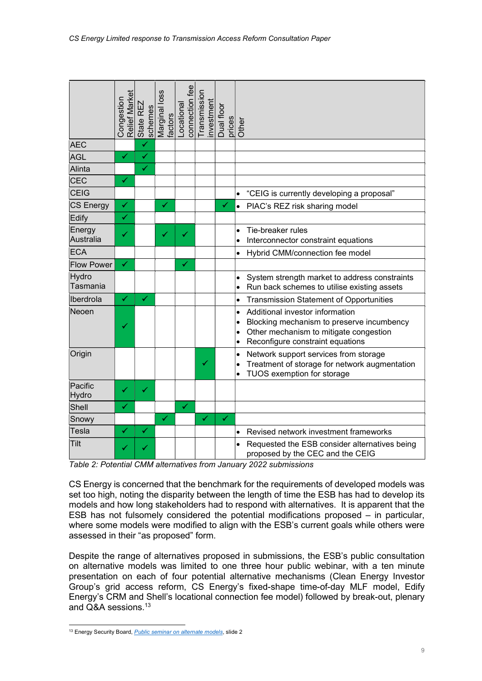|                                                                                                                                                                                                                                                                                                                                                                                                                                                                                                                    | Relief Market<br>Congestion | State REZ<br>schemes | Marginal loss<br>factors |  | connection fee<br>Locational | Transmission | investment | Dual floor<br>prices | Other                                            |                                                                                                                                                            |
|--------------------------------------------------------------------------------------------------------------------------------------------------------------------------------------------------------------------------------------------------------------------------------------------------------------------------------------------------------------------------------------------------------------------------------------------------------------------------------------------------------------------|-----------------------------|----------------------|--------------------------|--|------------------------------|--------------|------------|----------------------|--------------------------------------------------|------------------------------------------------------------------------------------------------------------------------------------------------------------|
| <b>AEC</b>                                                                                                                                                                                                                                                                                                                                                                                                                                                                                                         |                             | ✓                    |                          |  |                              |              |            |                      |                                                  |                                                                                                                                                            |
| <b>AGL</b>                                                                                                                                                                                                                                                                                                                                                                                                                                                                                                         | ✓                           | ✔                    |                          |  |                              |              |            |                      |                                                  |                                                                                                                                                            |
| Alinta                                                                                                                                                                                                                                                                                                                                                                                                                                                                                                             |                             | $\checkmark$         |                          |  |                              |              |            |                      |                                                  |                                                                                                                                                            |
| <b>CEC</b>                                                                                                                                                                                                                                                                                                                                                                                                                                                                                                         | ✓                           |                      |                          |  |                              |              |            |                      |                                                  |                                                                                                                                                            |
| CEIG                                                                                                                                                                                                                                                                                                                                                                                                                                                                                                               |                             |                      |                          |  |                              |              |            |                      | $\bullet$                                        | "CEIG is currently developing a proposal"                                                                                                                  |
| <b>CS Energy</b>                                                                                                                                                                                                                                                                                                                                                                                                                                                                                                   | $\checkmark$                |                      | $\checkmark$             |  |                              |              |            | $\checkmark$         |                                                  | PIAC's REZ risk sharing model                                                                                                                              |
| Edify                                                                                                                                                                                                                                                                                                                                                                                                                                                                                                              | ✓                           |                      |                          |  |                              |              |            |                      |                                                  |                                                                                                                                                            |
| Energy<br>Australia                                                                                                                                                                                                                                                                                                                                                                                                                                                                                                | ✔                           |                      | ✓                        |  | ✔                            |              |            |                      | $\bullet$                                        | Tie-breaker rules<br>Interconnector constraint equations                                                                                                   |
| <b>ECA</b>                                                                                                                                                                                                                                                                                                                                                                                                                                                                                                         |                             |                      |                          |  |                              |              |            |                      | $\bullet$                                        | Hybrid CMM/connection fee model                                                                                                                            |
| <b>Flow Power</b>                                                                                                                                                                                                                                                                                                                                                                                                                                                                                                  | ✔                           |                      |                          |  | ✔                            |              |            |                      |                                                  |                                                                                                                                                            |
| Hydro<br>Tasmania                                                                                                                                                                                                                                                                                                                                                                                                                                                                                                  |                             |                      |                          |  |                              |              |            |                      | $\bullet$<br>$\bullet$                           | System strength market to address constraints<br>Run back schemes to utilise existing assets                                                               |
| Iberdrola                                                                                                                                                                                                                                                                                                                                                                                                                                                                                                          | ✓                           | ✔                    |                          |  |                              |              |            |                      | $\bullet$                                        | <b>Transmission Statement of Opportunities</b>                                                                                                             |
| Neoen                                                                                                                                                                                                                                                                                                                                                                                                                                                                                                              |                             |                      |                          |  |                              |              |            |                      | $\bullet$<br>$\bullet$<br>$\bullet$<br>$\bullet$ | Additional investor information<br>Blocking mechanism to preserve incumbency<br>Other mechanism to mitigate congestion<br>Reconfigure constraint equations |
| Origin                                                                                                                                                                                                                                                                                                                                                                                                                                                                                                             |                             |                      |                          |  |                              | ✓            |            |                      | $\bullet$<br>$\bullet$<br>$\bullet$              | Network support services from storage<br>Treatment of storage for network augmentation<br>TUOS exemption for storage                                       |
| Pacific<br>Hydro                                                                                                                                                                                                                                                                                                                                                                                                                                                                                                   | ✓                           | ✔                    |                          |  |                              |              |            |                      |                                                  |                                                                                                                                                            |
| Shell                                                                                                                                                                                                                                                                                                                                                                                                                                                                                                              | ✓                           |                      |                          |  | ✔                            |              |            |                      |                                                  |                                                                                                                                                            |
| Snowy                                                                                                                                                                                                                                                                                                                                                                                                                                                                                                              |                             |                      | ✔                        |  |                              | ✔            |            | ✔                    |                                                  |                                                                                                                                                            |
| Tesla                                                                                                                                                                                                                                                                                                                                                                                                                                                                                                              | ✓                           | ✓                    |                          |  |                              |              |            |                      | $\bullet$                                        | Revised network investment frameworks                                                                                                                      |
| Tilt                                                                                                                                                                                                                                                                                                                                                                                                                                                                                                               |                             |                      |                          |  |                              |              |            |                      |                                                  | Requested the ESB consider alternatives being<br>proposed by the CEC and the CEIG                                                                          |
|                                                                                                                                                                                                                                                                                                                                                                                                                                                                                                                    |                             |                      |                          |  |                              |              |            |                      |                                                  | Table 2: Potential CMM alternatives from January 2022 submissions                                                                                          |
| CS Energy is concerned that the benchmark for the requirements of developed models was<br>set too high, noting the disparity between the length of time the ESB has had to develop its<br>models and how long stakeholders had to respond with alternatives. It is apparent that the<br>ESB has not fulsomely considered the potential modifications proposed – in particular,<br>where some models were modified to align with the ESB's current goals while others were<br>assessed in their "as proposed" form. |                             |                      |                          |  |                              |              |            |                      |                                                  |                                                                                                                                                            |
| Despite the range of alternatives proposed in submissions, the ESB's public consultation<br>on alternative models was limited to one three hour public webinar, with a ten minute<br>presentation on each of four potential alternative mechanisms (Clean Energy Investor<br>Group's grid access reform, CS Energy's fixed-shape time-of-day MLF model, Edify<br>Energy's CRM and Shell's locational connection fee model) followed by break-out, plenary<br>and Q&A sessions. <sup>13</sup>                       |                             |                      |                          |  |                              |              |            |                      |                                                  |                                                                                                                                                            |
| <sup>13</sup> Energy Security Board, <i>Public seminar on alternate models</i> , slide 2                                                                                                                                                                                                                                                                                                                                                                                                                           |                             |                      |                          |  |                              |              |            |                      |                                                  |                                                                                                                                                            |
|                                                                                                                                                                                                                                                                                                                                                                                                                                                                                                                    |                             |                      |                          |  |                              |              |            |                      |                                                  |                                                                                                                                                            |

Table 2: Potential CMM alternatives from January 2022 submissions

<sup>&</sup>lt;sup>13</sup> Energy Security Board, *Public seminar on alternate models*, slide 2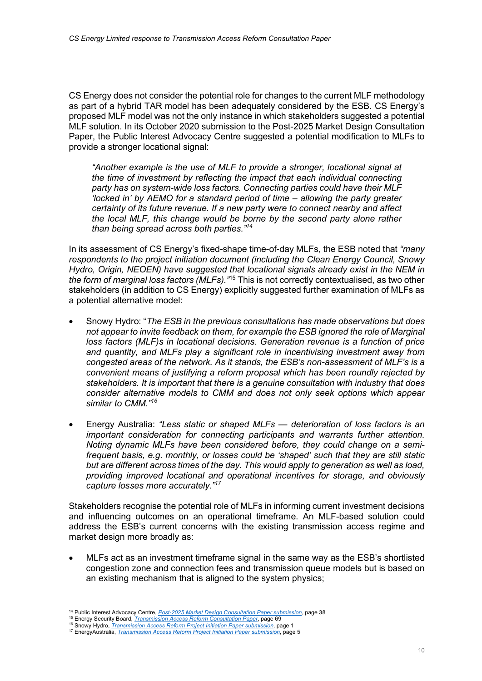CS Energy does not consider the potential role for changes to the current MLF methodology as part of a hybrid TAR model has been adequately considered by the ESB. CS Energy's proposed MLF model was not the only instance in which stakeholders suggested a potential MLF solution. In its October 2020 submission to the Post-2025 Market Design Consultation Paper, the Public Interest Advocacy Centre suggested a potential modification to MLFs to provide a stronger locational signal:

"Another example is the use of MLF to provide a stronger, locational signal at the time of investment by reflecting the impact that each individual connecting party has on system-wide loss factors. Connecting parties could have their MLF 'locked in' by AEMO for a standard period of time – allowing the party greater certainty of its future revenue. If a new party were to connect nearby and affect the local MLF, this change would be borne by the second party alone rather than being spread across both parties."<sup>14</sup>

In its assessment of CS Energy's fixed-shape time-of-day MLFs, the ESB noted that "many respondents to the project initiation document (including the Clean Energy Council, Snowy Hydro, Origin, NEOEN) have suggested that locational signals already exist in the NEM in the form of marginal loss factors (MLFs). "<sup>15</sup> This is not correctly contextualised, as two other stakeholders (in addition to CS Energy) explicitly suggested further examination of MLFs as a potential alternative model:

- Snowy Hydro: "The ESB in the previous consultations has made observations but does not appear to invite feedback on them, for example the ESB ignored the role of Marginal loss factors (MLF)s in locational decisions. Generation revenue is a function of price and quantity, and MLFs play a significant role in incentivising investment away from congested areas of the network. As it stands, the ESB's non-assessment of MLF's is a convenient means of justifying a reform proposal which has been roundly rejected by stakeholders. It is important that there is a genuine consultation with industry that does consider alternative models to CMM and does not only seek options which appear similar to CMM."<sup>16</sup>
- Energy Australia: "Less static or shaped MLFs deterioration of loss factors is an important consideration for connecting participants and warrants further attention. Noting dynamic MLFs have been considered before, they could change on a semifrequent basis, e.g. monthly, or losses could be 'shaped' such that they are still static but are different across times of the day. This would apply to generation as well as load, providing improved locational and operational incentives for storage, and obviously capture losses more accurately."<sup>17</sup>

Stakeholders recognise the potential role of MLFs in informing current investment decisions and influencing outcomes on an operational timeframe. An MLF-based solution could address the ESB's current concerns with the existing transmission access regime and market design more broadly as:

 MLFs act as an investment timeframe signal in the same way as the ESB's shortlisted congestion zone and connection fees and transmission queue models but is based on an existing mechanism that is aligned to the system physics;

<sup>&</sup>lt;sup>14</sup> Public Interest Advocacy Centre, *Post-2025 Market Design Consultation Paper submission*, page 38

<sup>&</sup>lt;sup>15</sup> Energy Security Board, *Transmission Access Reform Consultation Paper*, page 69

<sup>&</sup>lt;sup>16</sup> Snowy Hydro, *Transmission Access Reform Project Initiation Paper submission*, page 1

<sup>17</sup> EnergyAustralia, *Transmission Access Reform Project Initiation Paper submission*, page 5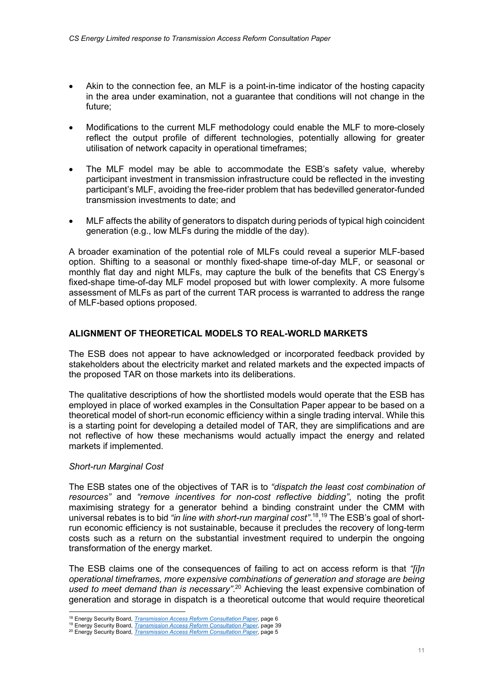- Akin to the connection fee, an MLF is a point-in-time indicator of the hosting capacity in the area under examination, not a guarantee that conditions will not change in the future;
- Modifications to the current MLF methodology could enable the MLF to more-closely reflect the output profile of different technologies, potentially allowing for greater utilisation of network capacity in operational timeframes;
- The MLF model may be able to accommodate the ESB's safety value, whereby participant investment in transmission infrastructure could be reflected in the investing participant's MLF, avoiding the free-rider problem that has bedevilled generator-funded transmission investments to date; and
- MLF affects the ability of generators to dispatch during periods of typical high coincident generation (e.g., low MLFs during the middle of the day).

A broader examination of the potential role of MLFs could reveal a superior MLF-based option. Shifting to a seasonal or monthly fixed-shape time-of-day MLF, or seasonal or monthly flat day and night MLFs, may capture the bulk of the benefits that CS Energy's fixed-shape time-of-day MLF model proposed but with lower complexity. A more fulsome assessment of MLFs as part of the current TAR process is warranted to address the range of MLF-based options proposed.

# ALIGNMENT OF THEORETICAL MODELS TO REAL-WORLD MARKETS

The ESB does not appear to have acknowledged or incorporated feedback provided by stakeholders about the electricity market and related markets and the expected impacts of the proposed TAR on those markets into its deliberations.

The qualitative descriptions of how the shortlisted models would operate that the ESB has employed in place of worked examples in the Consultation Paper appear to be based on a theoretical model of short-run economic efficiency within a single trading interval. While this is a starting point for developing a detailed model of TAR, they are simplifications and are not reflective of how these mechanisms would actually impact the energy and related markets if implemented.

# Short-run Marginal Cost

The ESB states one of the objectives of TAR is to "dispatch the least cost combination of resources" and "remove incentives for non-cost reflective bidding", noting the profit maximising strategy for a generator behind a binding constraint under the CMM with universal rebates is to bid "in line with short-run marginal cost".<sup>18</sup>,<sup>19</sup> The ESB's goal of shortrun economic efficiency is not sustainable, because it precludes the recovery of long-term costs such as a return on the substantial investment required to underpin the ongoing transformation of the energy market.

The ESB claims one of the consequences of failing to act on access reform is that "[i]n operational timeframes, more expensive combinations of generation and storage are being used to meet demand than is necessary".<sup>20</sup> Achieving the least expensive combination of generation and storage in dispatch is a theoretical outcome that would require theoretical

<sup>&</sup>lt;sup>18</sup> Energy Security Board, *Transmission Access Reform Consultation Paper*, page 6

<sup>&</sup>lt;sup>19</sup> Energy Security Board, *Transmission Access Reform Consultation Paper*, page 39

<sup>&</sup>lt;sup>20</sup> Energy Security Board, *Transmission Access Reform Consultation Paper*, page 5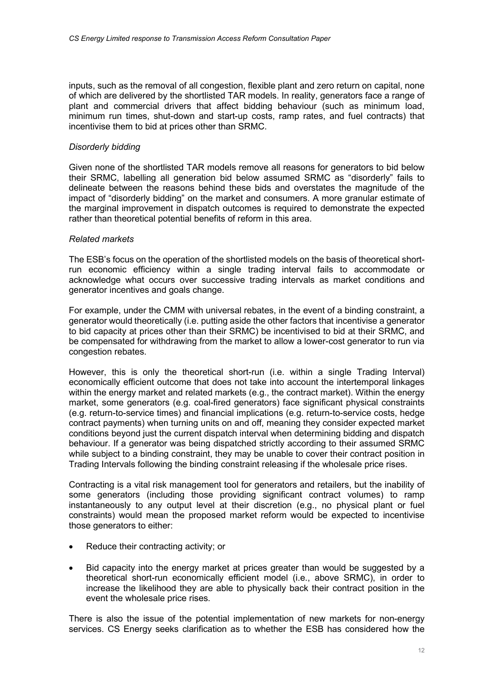inputs, such as the removal of all congestion, flexible plant and zero return on capital, none of which are delivered by the shortlisted TAR models. In reality, generators face a range of plant and commercial drivers that affect bidding behaviour (such as minimum load, minimum run times, shut-down and start-up costs, ramp rates, and fuel contracts) that incentivise them to bid at prices other than SRMC.

# Disorderly bidding

Given none of the shortlisted TAR models remove all reasons for generators to bid below their SRMC, labelling all generation bid below assumed SRMC as "disorderly" fails to delineate between the reasons behind these bids and overstates the magnitude of the impact of "disorderly bidding" on the market and consumers. A more granular estimate of the marginal improvement in dispatch outcomes is required to demonstrate the expected rather than theoretical potential benefits of reform in this area.

# Related markets

The ESB's focus on the operation of the shortlisted models on the basis of theoretical shortrun economic efficiency within a single trading interval fails to accommodate or acknowledge what occurs over successive trading intervals as market conditions and generator incentives and goals change.

For example, under the CMM with universal rebates, in the event of a binding constraint, a generator would theoretically (i.e. putting aside the other factors that incentivise a generator to bid capacity at prices other than their SRMC) be incentivised to bid at their SRMC, and be compensated for withdrawing from the market to allow a lower-cost generator to run via congestion rebates.

However, this is only the theoretical short-run (i.e. within a single Trading Interval) economically efficient outcome that does not take into account the intertemporal linkages within the energy market and related markets (e.g., the contract market). Within the energy market, some generators (e.g. coal-fired generators) face significant physical constraints (e.g. return-to-service times) and financial implications (e.g. return-to-service costs, hedge contract payments) when turning units on and off, meaning they consider expected market conditions beyond just the current dispatch interval when determining bidding and dispatch behaviour. If a generator was being dispatched strictly according to their assumed SRMC while subject to a binding constraint, they may be unable to cover their contract position in Trading Intervals following the binding constraint releasing if the wholesale price rises.

Contracting is a vital risk management tool for generators and retailers, but the inability of some generators (including those providing significant contract volumes) to ramp instantaneously to any output level at their discretion (e.g., no physical plant or fuel constraints) would mean the proposed market reform would be expected to incentivise those generators to either:

- Reduce their contracting activity; or
- Bid capacity into the energy market at prices greater than would be suggested by a theoretical short-run economically efficient model (i.e., above SRMC), in order to increase the likelihood they are able to physically back their contract position in the event the wholesale price rises.

There is also the issue of the potential implementation of new markets for non-energy services. CS Energy seeks clarification as to whether the ESB has considered how the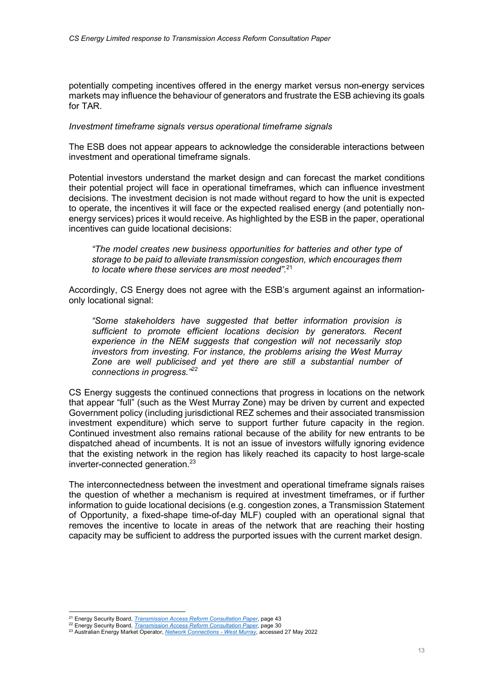potentially competing incentives offered in the energy market versus non-energy services markets may influence the behaviour of generators and frustrate the ESB achieving its goals for TAR.

#### Investment timeframe signals versus operational timeframe signals

The ESB does not appear appears to acknowledge the considerable interactions between investment and operational timeframe signals.

Potential investors understand the market design and can forecast the market conditions their potential project will face in operational timeframes, which can influence investment decisions. The investment decision is not made without regard to how the unit is expected to operate, the incentives it will face or the expected realised energy (and potentially nonenergy services) prices it would receive. As highlighted by the ESB in the paper, operational incentives can guide locational decisions:

"The model creates new business opportunities for batteries and other type of storage to be paid to alleviate transmission congestion, which encourages them to locate where these services are most needed".<sup>21</sup>

Accordingly, CS Energy does not agree with the ESB's argument against an informationonly locational signal:

"Some stakeholders have suggested that better information provision is sufficient to promote efficient locations decision by generators. Recent experience in the NEM suggests that congestion will not necessarily stop investors from investing. For instance, the problems arising the West Murray Zone are well publicised and yet there are still a substantial number of connections in progress."<sup>22</sup>

CS Energy suggests the continued connections that progress in locations on the network that appear "full" (such as the West Murray Zone) may be driven by current and expected Government policy (including jurisdictional REZ schemes and their associated transmission investment expenditure) which serve to support further future capacity in the region. Continued investment also remains rational because of the ability for new entrants to be dispatched ahead of incumbents. It is not an issue of investors wilfully ignoring evidence that the existing network in the region has likely reached its capacity to host large-scale inverter-connected generation.<sup>23</sup>

The interconnectedness between the investment and operational timeframe signals raises the question of whether a mechanism is required at investment timeframes, or if further information to guide locational decisions (e.g. congestion zones, a Transmission Statement of Opportunity, a fixed-shape time-of-day MLF) coupled with an operational signal that removes the incentive to locate in areas of the network that are reaching their hosting capacity may be sufficient to address the purported issues with the current market design.

<sup>&</sup>lt;sup>21</sup> Energy Security Board, *Transmission Access Reform Consultation Paper*, page 43

<sup>22</sup> Energy Security Board, *Transmission Access Reform Consultation Paper*, page 30

<sup>&</sup>lt;sup>23</sup> Australian Energy Market Operator, Network Connections - West Murray, accessed 27 May 2022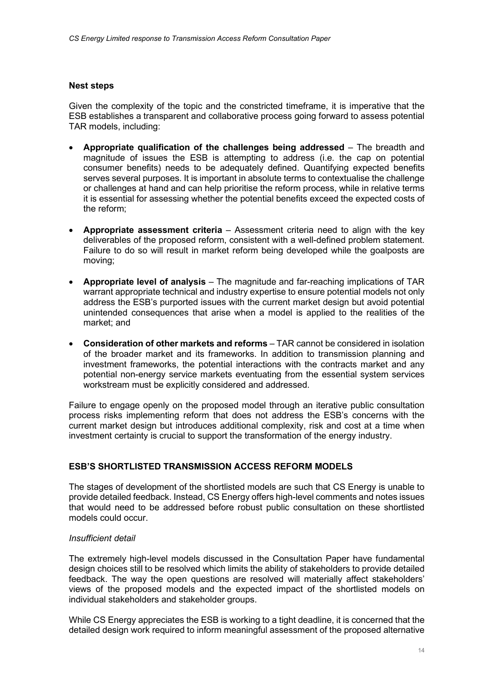# Nest steps

Given the complexity of the topic and the constricted timeframe, it is imperative that the ESB establishes a transparent and collaborative process going forward to assess potential TAR models, including:

- Appropriate qualification of the challenges being addressed The breadth and magnitude of issues the ESB is attempting to address (i.e. the cap on potential consumer benefits) needs to be adequately defined. Quantifying expected benefits serves several purposes. It is important in absolute terms to contextualise the challenge or challenges at hand and can help prioritise the reform process, while in relative terms it is essential for assessing whether the potential benefits exceed the expected costs of the reform;
- Appropriate assessment criteria Assessment criteria need to align with the key deliverables of the proposed reform, consistent with a well-defined problem statement. Failure to do so will result in market reform being developed while the goalposts are moving;
- Appropriate level of analysis The magnitude and far-reaching implications of TAR warrant appropriate technical and industry expertise to ensure potential models not only address the ESB's purported issues with the current market design but avoid potential unintended consequences that arise when a model is applied to the realities of the market; and
- Consideration of other markets and reforms TAR cannot be considered in isolation of the broader market and its frameworks. In addition to transmission planning and investment frameworks, the potential interactions with the contracts market and any potential non-energy service markets eventuating from the essential system services workstream must be explicitly considered and addressed.

Failure to engage openly on the proposed model through an iterative public consultation process risks implementing reform that does not address the ESB's concerns with the current market design but introduces additional complexity, risk and cost at a time when investment certainty is crucial to support the transformation of the energy industry.

# ESB'S SHORTLISTED TRANSMISSION ACCESS REFORM MODELS

The stages of development of the shortlisted models are such that CS Energy is unable to provide detailed feedback. Instead, CS Energy offers high-level comments and notes issues that would need to be addressed before robust public consultation on these shortlisted models could occur.

# Insufficient detail

The extremely high-level models discussed in the Consultation Paper have fundamental design choices still to be resolved which limits the ability of stakeholders to provide detailed feedback. The way the open questions are resolved will materially affect stakeholders' views of the proposed models and the expected impact of the shortlisted models on individual stakeholders and stakeholder groups.

While CS Energy appreciates the ESB is working to a tight deadline, it is concerned that the detailed design work required to inform meaningful assessment of the proposed alternative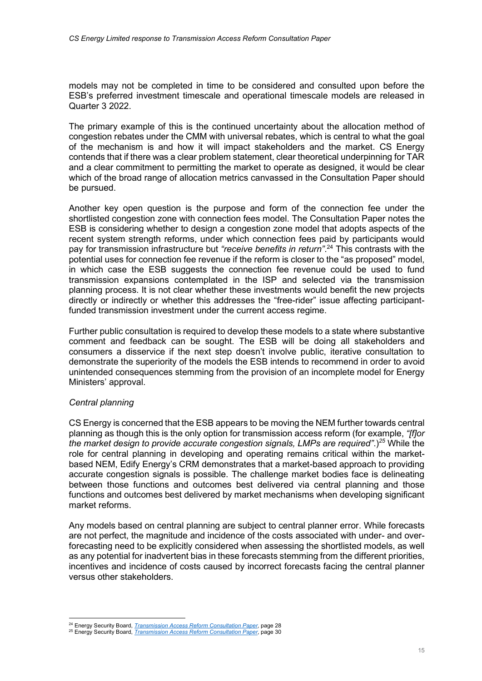models may not be completed in time to be considered and consulted upon before the ESB's preferred investment timescale and operational timescale models are released in Quarter 3 2022.

The primary example of this is the continued uncertainty about the allocation method of congestion rebates under the CMM with universal rebates, which is central to what the goal of the mechanism is and how it will impact stakeholders and the market. CS Energy contends that if there was a clear problem statement, clear theoretical underpinning for TAR and a clear commitment to permitting the market to operate as designed, it would be clear which of the broad range of allocation metrics canvassed in the Consultation Paper should be pursued.

Another key open question is the purpose and form of the connection fee under the shortlisted congestion zone with connection fees model. The Consultation Paper notes the ESB is considering whether to design a congestion zone model that adopts aspects of the recent system strength reforms, under which connection fees paid by participants would pay for transmission infrastructure but "receive benefits in return".<sup>24</sup> This contrasts with the potential uses for connection fee revenue if the reform is closer to the "as proposed" model, in which case the ESB suggests the connection fee revenue could be used to fund transmission expansions contemplated in the ISP and selected via the transmission planning process. It is not clear whether these investments would benefit the new projects directly or indirectly or whether this addresses the "free-rider" issue affecting participantfunded transmission investment under the current access regime.

Further public consultation is required to develop these models to a state where substantive comment and feedback can be sought. The ESB will be doing all stakeholders and consumers a disservice if the next step doesn't involve public, iterative consultation to demonstrate the superiority of the models the ESB intends to recommend in order to avoid unintended consequences stemming from the provision of an incomplete model for Energy Ministers' approval.

# Central planning

CS Energy is concerned that the ESB appears to be moving the NEM further towards central planning as though this is the only option for transmission access reform (for example, "fflor the market design to provide accurate congestion signals, LMPs are required".)<sup>25</sup> While the role for central planning in developing and operating remains critical within the marketbased NEM, Edify Energy's CRM demonstrates that a market-based approach to providing accurate congestion signals is possible. The challenge market bodies face is delineating between those functions and outcomes best delivered via central planning and those functions and outcomes best delivered by market mechanisms when developing significant market reforms.

Any models based on central planning are subject to central planner error. While forecasts are not perfect, the magnitude and incidence of the costs associated with under- and overforecasting need to be explicitly considered when assessing the shortlisted models, as well as any potential for inadvertent bias in these forecasts stemming from the different priorities, incentives and incidence of costs caused by incorrect forecasts facing the central planner versus other stakeholders.

<sup>&</sup>lt;sup>24</sup> Energy Security Board, *Transmission Access Reform Consultation Paper*, page 28

<sup>&</sup>lt;sup>25</sup> Energy Security Board, *Transmission Access Reform Consultation Paper*, page 30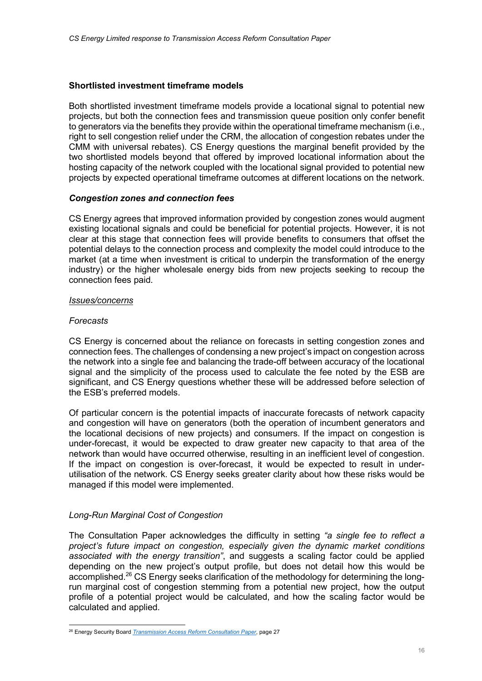# Shortlisted investment timeframe models

Both shortlisted investment timeframe models provide a locational signal to potential new projects, but both the connection fees and transmission queue position only confer benefit to generators via the benefits they provide within the operational timeframe mechanism (i.e., right to sell congestion relief under the CRM, the allocation of congestion rebates under the CMM with universal rebates). CS Energy questions the marginal benefit provided by the two shortlisted models beyond that offered by improved locational information about the hosting capacity of the network coupled with the locational signal provided to potential new projects by expected operational timeframe outcomes at different locations on the network.

# Congestion zones and connection fees

CS Energy agrees that improved information provided by congestion zones would augment existing locational signals and could be beneficial for potential projects. However, it is not clear at this stage that connection fees will provide benefits to consumers that offset the potential delays to the connection process and complexity the model could introduce to the market (at a time when investment is critical to underpin the transformation of the energy industry) or the higher wholesale energy bids from new projects seeking to recoup the connection fees paid.

# Issues/concerns

# Forecasts

CS Energy is concerned about the reliance on forecasts in setting congestion zones and connection fees. The challenges of condensing a new project's impact on congestion across the network into a single fee and balancing the trade-off between accuracy of the locational signal and the simplicity of the process used to calculate the fee noted by the ESB are significant, and CS Energy questions whether these will be addressed before selection of the ESB's preferred models.

Of particular concern is the potential impacts of inaccurate forecasts of network capacity and congestion will have on generators (both the operation of incumbent generators and the locational decisions of new projects) and consumers. If the impact on congestion is under-forecast, it would be expected to draw greater new capacity to that area of the network than would have occurred otherwise, resulting in an inefficient level of congestion. If the impact on congestion is over-forecast, it would be expected to result in underutilisation of the network. CS Energy seeks greater clarity about how these risks would be managed if this model were implemented.

# Long-Run Marginal Cost of Congestion

The Consultation Paper acknowledges the difficulty in setting "a single fee to reflect a project's future impact on congestion, especially given the dynamic market conditions associated with the energy transition", and suggests a scaling factor could be applied depending on the new project's output profile, but does not detail how this would be accomplished.<sup>26</sup> CS Energy seeks clarification of the methodology for determining the longrun marginal cost of congestion stemming from a potential new project, how the output profile of a potential project would be calculated, and how the scaling factor would be calculated and applied.

<sup>&</sup>lt;sup>26</sup> Energy Security Board *Transmission Access Reform Consultation Paper*, page 27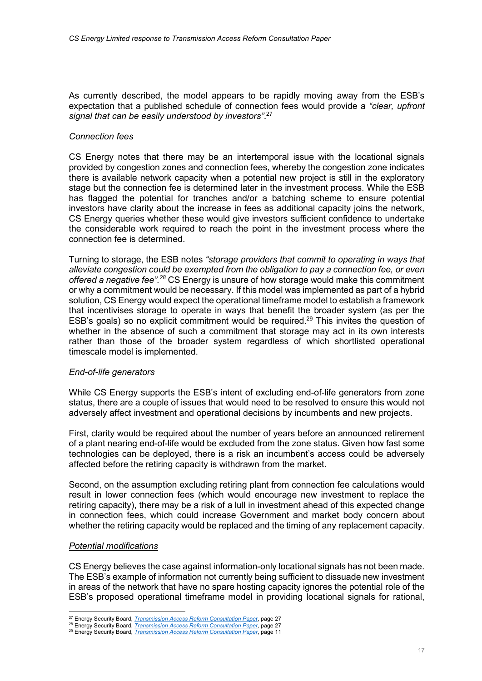As currently described, the model appears to be rapidly moving away from the ESB's expectation that a published schedule of connection fees would provide a "clear, upfront signal that can be easily understood by investors".<sup>27</sup>

# Connection fees

CS Energy notes that there may be an intertemporal issue with the locational signals provided by congestion zones and connection fees, whereby the congestion zone indicates there is available network capacity when a potential new project is still in the exploratory stage but the connection fee is determined later in the investment process. While the ESB has flagged the potential for tranches and/or a batching scheme to ensure potential investors have clarity about the increase in fees as additional capacity joins the network, CS Energy queries whether these would give investors sufficient confidence to undertake the considerable work required to reach the point in the investment process where the connection fee is determined.

Turning to storage, the ESB notes "storage providers that commit to operating in ways that alleviate congestion could be exempted from the obligation to pay a connection fee, or even offered a negative fee".<sup>28</sup> CS Energy is unsure of how storage would make this commitment or why a commitment would be necessary. If this model was implemented as part of a hybrid solution, CS Energy would expect the operational timeframe model to establish a framework that incentivises storage to operate in ways that benefit the broader system (as per the ESB's goals) so no explicit commitment would be required.<sup>29</sup> This invites the question of whether in the absence of such a commitment that storage may act in its own interests rather than those of the broader system regardless of which shortlisted operational timescale model is implemented.

#### End-of-life generators

While CS Energy supports the ESB's intent of excluding end-of-life generators from zone status, there are a couple of issues that would need to be resolved to ensure this would not adversely affect investment and operational decisions by incumbents and new projects.

First, clarity would be required about the number of years before an announced retirement of a plant nearing end-of-life would be excluded from the zone status. Given how fast some technologies can be deployed, there is a risk an incumbent's access could be adversely affected before the retiring capacity is withdrawn from the market.

Second, on the assumption excluding retiring plant from connection fee calculations would result in lower connection fees (which would encourage new investment to replace the retiring capacity), there may be a risk of a lull in investment ahead of this expected change in connection fees, which could increase Government and market body concern about whether the retiring capacity would be replaced and the timing of any replacement capacity.

#### Potential modifications

CS Energy believes the case against information-only locational signals has not been made. The ESB's example of information not currently being sufficient to dissuade new investment in areas of the network that have no spare hosting capacity ignores the potential role of the ESB's proposed operational timeframe model in providing locational signals for rational,

<sup>&</sup>lt;sup>27</sup> Energy Security Board, *Transmission Access Reform Consultation Paper*, page 27

<sup>28</sup> Energy Security Board, *Transmission Access Reform Consultation Paper*, page 27

<sup>&</sup>lt;sup>29</sup> Energy Security Board, *Transmission Access Reform Consultation Paper*, page 11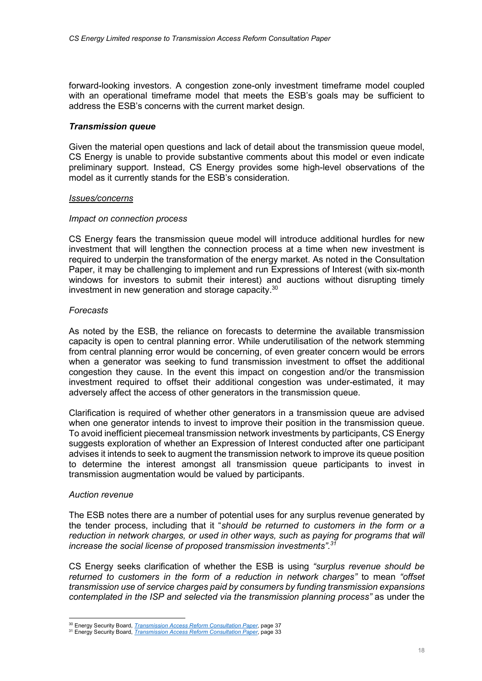forward-looking investors. A congestion zone-only investment timeframe model coupled with an operational timeframe model that meets the ESB's goals may be sufficient to address the ESB's concerns with the current market design.

# Transmission queue

Given the material open questions and lack of detail about the transmission queue model, CS Energy is unable to provide substantive comments about this model or even indicate preliminary support. Instead, CS Energy provides some high-level observations of the model as it currently stands for the ESB's consideration.

#### Issues/concerns

# Impact on connection process

CS Energy fears the transmission queue model will introduce additional hurdles for new investment that will lengthen the connection process at a time when new investment is required to underpin the transformation of the energy market. As noted in the Consultation Paper, it may be challenging to implement and run Expressions of Interest (with six-month windows for investors to submit their interest) and auctions without disrupting timely investment in new generation and storage capacity.<sup>30</sup>

# Forecasts

As noted by the ESB, the reliance on forecasts to determine the available transmission capacity is open to central planning error. While underutilisation of the network stemming from central planning error would be concerning, of even greater concern would be errors when a generator was seeking to fund transmission investment to offset the additional congestion they cause. In the event this impact on congestion and/or the transmission investment required to offset their additional congestion was under-estimated, it may adversely affect the access of other generators in the transmission queue.

Clarification is required of whether other generators in a transmission queue are advised when one generator intends to invest to improve their position in the transmission queue. To avoid inefficient piecemeal transmission network investments by participants, CS Energy suggests exploration of whether an Expression of Interest conducted after one participant advises it intends to seek to augment the transmission network to improve its queue position to determine the interest amongst all transmission queue participants to invest in transmission augmentation would be valued by participants.

#### Auction revenue

The ESB notes there are a number of potential uses for any surplus revenue generated by the tender process, including that it "should be returned to customers in the form or a reduction in network charges, or used in other ways, such as paying for programs that will increase the social license of proposed transmission investments".<sup>3</sup>

CS Energy seeks clarification of whether the ESB is using "surplus revenue should be returned to customers in the form of a reduction in network charges" to mean "offset transmission use of service charges paid by consumers by funding transmission expansions contemplated in the ISP and selected via the transmission planning process" as under the

<sup>&</sup>lt;sup>30</sup> Energy Security Board, *Transmission Access Reform Consultation Paper*, page 37

<sup>&</sup>lt;sup>31</sup> Energy Security Board, *Transmission Access Reform Consultation Paper*, page 33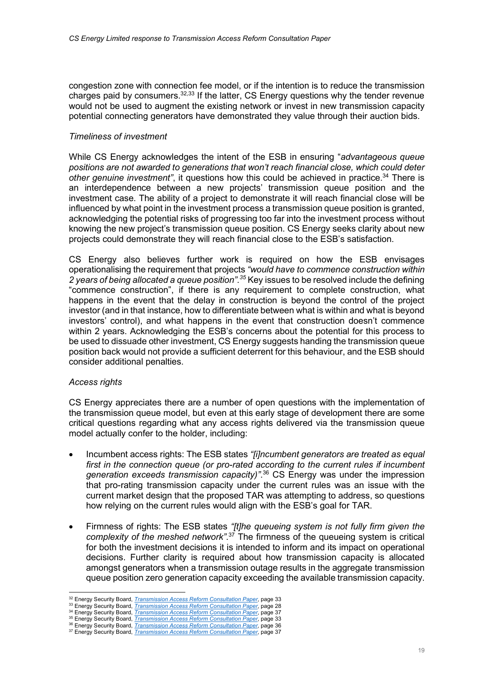congestion zone with connection fee model, or if the intention is to reduce the transmission charges paid by consumers.  $32,33$  If the latter, CS Energy questions why the tender revenue would not be used to augment the existing network or invest in new transmission capacity potential connecting generators have demonstrated they value through their auction bids.

# Timeliness of investment

While CS Energy acknowledges the intent of the ESB in ensuring "advantageous queue positions are not awarded to generations that won't reach financial close, which could deter other genuine investment", it questions how this could be achieved in practice.<sup>34</sup> There is an interdependence between a new projects' transmission queue position and the investment case. The ability of a project to demonstrate it will reach financial close will be influenced by what point in the investment process a transmission queue position is granted, acknowledging the potential risks of progressing too far into the investment process without knowing the new project's transmission queue position. CS Energy seeks clarity about new projects could demonstrate they will reach financial close to the ESB's satisfaction.

CS Energy also believes further work is required on how the ESB envisages operationalising the requirement that projects "would have to commence construction within 2 years of being allocated a queue position".<sup>35</sup> Key issues to be resolved include the defining "commence construction", if there is any requirement to complete construction, what happens in the event that the delay in construction is beyond the control of the project investor (and in that instance, how to differentiate between what is within and what is beyond investors' control), and what happens in the event that construction doesn't commence within 2 years. Acknowledging the ESB's concerns about the potential for this process to be used to dissuade other investment, CS Energy suggests handing the transmission queue position back would not provide a sufficient deterrent for this behaviour, and the ESB should consider additional penalties.

# Access rights

CS Energy appreciates there are a number of open questions with the implementation of the transmission queue model, but even at this early stage of development there are some critical questions regarding what any access rights delivered via the transmission queue model actually confer to the holder, including:

- Incumbent access rights: The ESB states "[i]ncumbent generators are treated as equal first in the connection queue (or pro-rated according to the current rules if incumbent generation exceeds transmission capacity)".<sup>36</sup> CS Energy was under the impression that pro-rating transmission capacity under the current rules was an issue with the current market design that the proposed TAR was attempting to address, so questions how relying on the current rules would align with the ESB's goal for TAR.
- Firmness of rights: The ESB states "[t]he queueing system is not fully firm given the complexity of the meshed network<sup>", 37</sup> The firmness of the queueing system is critical for both the investment decisions it is intended to inform and its impact on operational decisions. Further clarity is required about how transmission capacity is allocated amongst generators when a transmission outage results in the aggregate transmission queue position zero generation capacity exceeding the available transmission capacity.

<sup>&</sup>lt;sup>32</sup> Energy Security Board, *Transmission Access Reform Consultation Paper*, page 33

<sup>33</sup> Energy Security Board, *Transmission Access Reform Consultation Paper*, page 28

<sup>&</sup>lt;sup>34</sup> Energy Security Board, *Transmission Access Reform Consultation Paper*, page 37 <sup>35</sup> Energy Security Board, *Transmission Access Reform Consultation Paper*, page 33

**SERVICES, SECURITY BOARD, Transmission Access Reform Consultation Paper, page 36** 

<sup>&</sup>lt;sup>37</sup> Energy Security Board, *Transmission Access Reform Consultation Paper*, page 37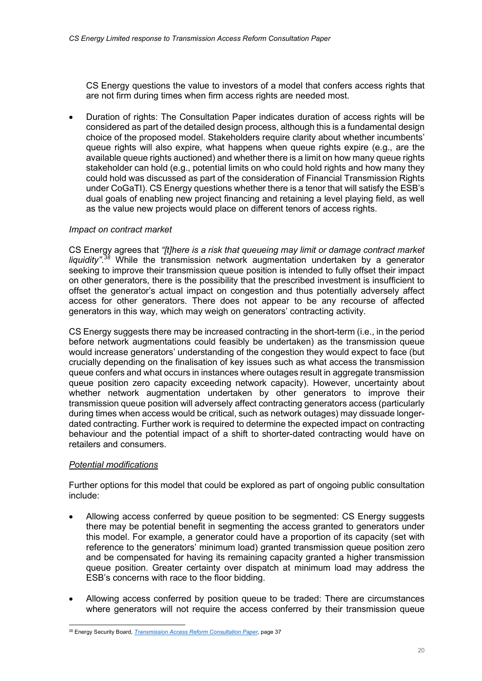CS Energy questions the value to investors of a model that confers access rights that are not firm during times when firm access rights are needed most.

 Duration of rights: The Consultation Paper indicates duration of access rights will be considered as part of the detailed design process, although this is a fundamental design choice of the proposed model. Stakeholders require clarity about whether incumbents' queue rights will also expire, what happens when queue rights expire (e.g., are the available queue rights auctioned) and whether there is a limit on how many queue rights stakeholder can hold (e.g., potential limits on who could hold rights and how many they could hold was discussed as part of the consideration of Financial Transmission Rights under CoGaTI). CS Energy questions whether there is a tenor that will satisfy the ESB's dual goals of enabling new project financing and retaining a level playing field, as well as the value new projects would place on different tenors of access rights.

# Impact on contract market

CS Energy agrees that "[t]here is a risk that queueing may limit or damage contract market liquidity".<sup>38</sup> While the transmission network augmentation undertaken by a generator seeking to improve their transmission queue position is intended to fully offset their impact on other generators, there is the possibility that the prescribed investment is insufficient to offset the generator's actual impact on congestion and thus potentially adversely affect access for other generators. There does not appear to be any recourse of affected generators in this way, which may weigh on generators' contracting activity.

CS Energy suggests there may be increased contracting in the short-term (i.e., in the period before network augmentations could feasibly be undertaken) as the transmission queue would increase generators' understanding of the congestion they would expect to face (but crucially depending on the finalisation of key issues such as what access the transmission queue confers and what occurs in instances where outages result in aggregate transmission queue position zero capacity exceeding network capacity). However, uncertainty about whether network augmentation undertaken by other generators to improve their transmission queue position will adversely affect contracting generators access (particularly during times when access would be critical, such as network outages) may dissuade longerdated contracting. Further work is required to determine the expected impact on contracting behaviour and the potential impact of a shift to shorter-dated contracting would have on retailers and consumers.

# Potential modifications

Further options for this model that could be explored as part of ongoing public consultation include:

- Allowing access conferred by queue position to be segmented: CS Energy suggests there may be potential benefit in segmenting the access granted to generators under this model. For example, a generator could have a proportion of its capacity (set with reference to the generators' minimum load) granted transmission queue position zero and be compensated for having its remaining capacity granted a higher transmission queue position. Greater certainty over dispatch at minimum load may address the ESB's concerns with race to the floor bidding.
- Allowing access conferred by position queue to be traded: There are circumstances where generators will not require the access conferred by their transmission queue

<sup>&</sup>lt;sup>38</sup> Energy Security Board, *Transmission Access Reform Consultation Paper*, page 37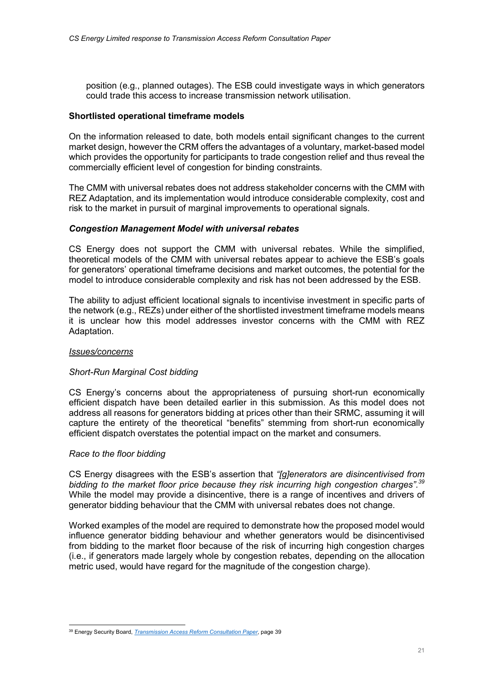position (e.g., planned outages). The ESB could investigate ways in which generators could trade this access to increase transmission network utilisation.

#### Shortlisted operational timeframe models

On the information released to date, both models entail significant changes to the current market design, however the CRM offers the advantages of a voluntary, market-based model which provides the opportunity for participants to trade congestion relief and thus reveal the commercially efficient level of congestion for binding constraints.

The CMM with universal rebates does not address stakeholder concerns with the CMM with REZ Adaptation, and its implementation would introduce considerable complexity, cost and risk to the market in pursuit of marginal improvements to operational signals.

#### Congestion Management Model with universal rebates

CS Energy does not support the CMM with universal rebates. While the simplified, theoretical models of the CMM with universal rebates appear to achieve the ESB's goals for generators' operational timeframe decisions and market outcomes, the potential for the model to introduce considerable complexity and risk has not been addressed by the ESB.

The ability to adjust efficient locational signals to incentivise investment in specific parts of the network (e.g., REZs) under either of the shortlisted investment timeframe models means it is unclear how this model addresses investor concerns with the CMM with REZ Adaptation.

#### Issues/concerns

# Short-Run Marginal Cost bidding

CS Energy's concerns about the appropriateness of pursuing short-run economically efficient dispatch have been detailed earlier in this submission. As this model does not address all reasons for generators bidding at prices other than their SRMC, assuming it will capture the entirety of the theoretical "benefits" stemming from short-run economically efficient dispatch overstates the potential impact on the market and consumers.

#### Race to the floor bidding

CS Energy disagrees with the ESB's assertion that "[g]enerators are disincentivised from bidding to the market floor price because they risk incurring high congestion charges".<sup>39</sup> While the model may provide a disincentive, there is a range of incentives and drivers of generator bidding behaviour that the CMM with universal rebates does not change.

Worked examples of the model are required to demonstrate how the proposed model would influence generator bidding behaviour and whether generators would be disincentivised from bidding to the market floor because of the risk of incurring high congestion charges (i.e., if generators made largely whole by congestion rebates, depending on the allocation metric used, would have regard for the magnitude of the congestion charge).

<sup>&</sup>lt;sup>39</sup> Energy Security Board, *Transmission Access Reform Consultation Paper*, page 39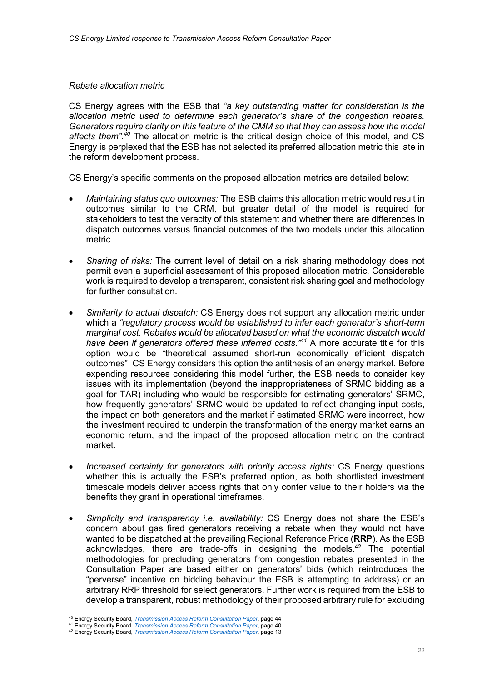#### Rebate allocation metric

CS Energy agrees with the ESB that "a key outstanding matter for consideration is the allocation metric used to determine each generator's share of the congestion rebates. Generators require clarity on this feature of the CMM so that they can assess how the model affects them". $40$  The allocation metric is the critical design choice of this model, and CS Energy is perplexed that the ESB has not selected its preferred allocation metric this late in the reform development process.

CS Energy's specific comments on the proposed allocation metrics are detailed below:

- Maintaining status quo outcomes: The ESB claims this allocation metric would result in outcomes similar to the CRM, but greater detail of the model is required for stakeholders to test the veracity of this statement and whether there are differences in dispatch outcomes versus financial outcomes of the two models under this allocation metric.
- Sharing of risks: The current level of detail on a risk sharing methodology does not permit even a superficial assessment of this proposed allocation metric. Considerable work is required to develop a transparent, consistent risk sharing goal and methodology for further consultation.
- Similarity to actual dispatch: CS Energy does not support any allocation metric under which a "regulatory process would be established to infer each generator's short-term marginal cost. Rebates would be allocated based on what the economic dispatch would have been if generators offered these inferred costs.<sup>"41</sup> A more accurate title for this option would be "theoretical assumed short-run economically efficient dispatch outcomes". CS Energy considers this option the antithesis of an energy market. Before expending resources considering this model further, the ESB needs to consider key issues with its implementation (beyond the inappropriateness of SRMC bidding as a goal for TAR) including who would be responsible for estimating generators' SRMC, how frequently generators' SRMC would be updated to reflect changing input costs, the impact on both generators and the market if estimated SRMC were incorrect, how the investment required to underpin the transformation of the energy market earns an economic return, and the impact of the proposed allocation metric on the contract market.
- Increased certainty for generators with priority access rights: CS Energy questions whether this is actually the ESB's preferred option, as both shortlisted investment timescale models deliver access rights that only confer value to their holders via the benefits they grant in operational timeframes.
- Simplicity and transparency i.e. availability: CS Energy does not share the ESB's concern about gas fired generators receiving a rebate when they would not have wanted to be dispatched at the prevailing Regional Reference Price (RRP). As the ESB acknowledges, there are trade-offs in designing the models.<sup>42</sup> The potential methodologies for precluding generators from congestion rebates presented in the Consultation Paper are based either on generators' bids (which reintroduces the "perverse" incentive on bidding behaviour the ESB is attempting to address) or an arbitrary RRP threshold for select generators. Further work is required from the ESB to develop a transparent, robust methodology of their proposed arbitrary rule for excluding

<sup>&</sup>lt;sup>40</sup> Energy Security Board, *Transmission Access Reform Consultation Paper*, page 44

<sup>41</sup> Energy Security Board, *Transmission Access Reform Consultation Paper*, page 40

<sup>42</sup> Energy Security Board, *Transmission Access Reform Consultation Paper*, page 13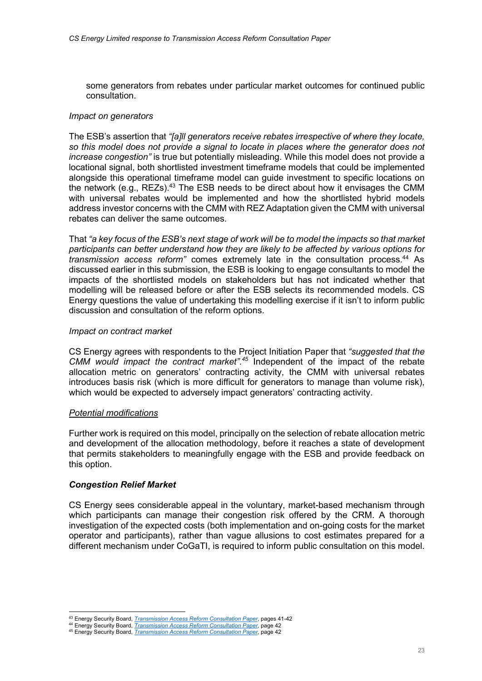some generators from rebates under particular market outcomes for continued public consultation.

# Impact on generators

The ESB's assertion that "[a]ll generators receive rebates irrespective of where they locate, so this model does not provide a signal to locate in places where the generator does not increase congestion" is true but potentially misleading. While this model does not provide a locational signal, both shortlisted investment timeframe models that could be implemented alongside this operational timeframe model can guide investment to specific locations on the network (e.g., REZs).<sup>43</sup> The ESB needs to be direct about how it envisages the CMM with universal rebates would be implemented and how the shortlisted hybrid models address investor concerns with the CMM with REZ Adaptation given the CMM with universal rebates can deliver the same outcomes.

That "a key focus of the ESB's next stage of work will be to model the impacts so that market participants can better understand how they are likely to be affected by various options for transmission access reform" comes extremely late in the consultation process.<sup>44</sup> As discussed earlier in this submission, the ESB is looking to engage consultants to model the impacts of the shortlisted models on stakeholders but has not indicated whether that modelling will be released before or after the ESB selects its recommended models. CS Energy questions the value of undertaking this modelling exercise if it isn't to inform public discussion and consultation of the reform options.

# Impact on contract market

CS Energy agrees with respondents to the Project Initiation Paper that "suggested that the CMM would impact the contract market".<sup>45</sup> Independent of the impact of the rebate allocation metric on generators' contracting activity, the CMM with universal rebates introduces basis risk (which is more difficult for generators to manage than volume risk), which would be expected to adversely impact generators' contracting activity.

#### Potential modifications

Further work is required on this model, principally on the selection of rebate allocation metric and development of the allocation methodology, before it reaches a state of development that permits stakeholders to meaningfully engage with the ESB and provide feedback on this option.

# Congestion Relief Market

CS Energy sees considerable appeal in the voluntary, market-based mechanism through which participants can manage their congestion risk offered by the CRM. A thorough investigation of the expected costs (both implementation and on-going costs for the market operator and participants), rather than vague allusions to cost estimates prepared for a different mechanism under CoGaTI, is required to inform public consultation on this model.

<sup>43</sup> Energy Security Board, *Transmission Access Reform Consultation Paper*, pages 41-42

<sup>44</sup> Energy Security Board, Transmission Access Reform Consultation Paper, page 42

<sup>45</sup> Energy Security Board, *Transmission Access Reform Consultation Paper*, page 42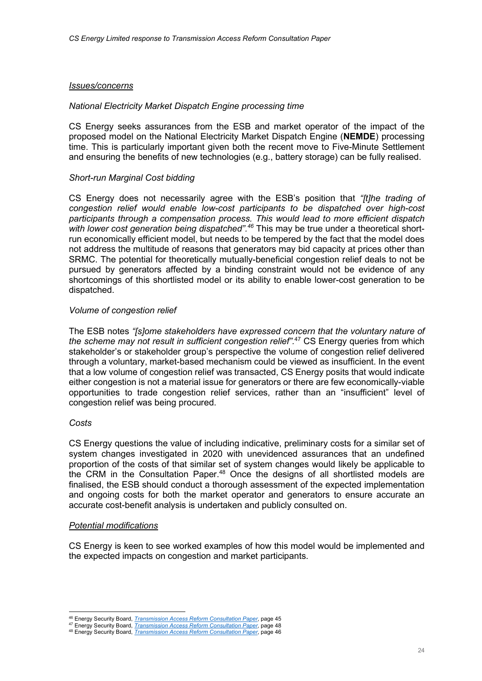#### Issues/concerns

#### National Electricity Market Dispatch Engine processing time

CS Energy seeks assurances from the ESB and market operator of the impact of the proposed model on the National Electricity Market Dispatch Engine (NEMDE) processing time. This is particularly important given both the recent move to Five-Minute Settlement and ensuring the benefits of new technologies (e.g., battery storage) can be fully realised.

# Short-run Marginal Cost bidding

CS Energy does not necessarily agree with the ESB's position that "[t]he trading of congestion relief would enable low-cost participants to be dispatched over high-cost participants through a compensation process. This would lead to more efficient dispatch with lower cost generation being dispatched".<sup>46</sup> This may be true under a theoretical shortrun economically efficient model, but needs to be tempered by the fact that the model does not address the multitude of reasons that generators may bid capacity at prices other than SRMC. The potential for theoretically mutually-beneficial congestion relief deals to not be pursued by generators affected by a binding constraint would not be evidence of any shortcomings of this shortlisted model or its ability to enable lower-cost generation to be dispatched.

# Volume of congestion relief

The ESB notes "[s]ome stakeholders have expressed concern that the voluntary nature of the scheme may not result in sufficient congestion relief".<sup>47</sup> CS Energy queries from which stakeholder's or stakeholder group's perspective the volume of congestion relief delivered through a voluntary, market-based mechanism could be viewed as insufficient. In the event that a low volume of congestion relief was transacted, CS Energy posits that would indicate either congestion is not a material issue for generators or there are few economically-viable opportunities to trade congestion relief services, rather than an "insufficient" level of congestion relief was being procured.

# Costs

CS Energy questions the value of including indicative, preliminary costs for a similar set of system changes investigated in 2020 with unevidenced assurances that an undefined proportion of the costs of that similar set of system changes would likely be applicable to the CRM in the Consultation Paper.<sup>48</sup> Once the designs of all shortlisted models are finalised, the ESB should conduct a thorough assessment of the expected implementation and ongoing costs for both the market operator and generators to ensure accurate an accurate cost-benefit analysis is undertaken and publicly consulted on.

#### Potential modifications

CS Energy is keen to see worked examples of how this model would be implemented and the expected impacts on congestion and market participants.

<sup>&</sup>lt;sup>46</sup> Energy Security Board, *Transmission Access Reform Consultation Paper*, page 45

<sup>47</sup> Energy Security Board, *Transmission Access Reform Consultation Paper*, page 48 48 Energy Security Board, *Transmission Access Reform Consultation Paper*, page 46